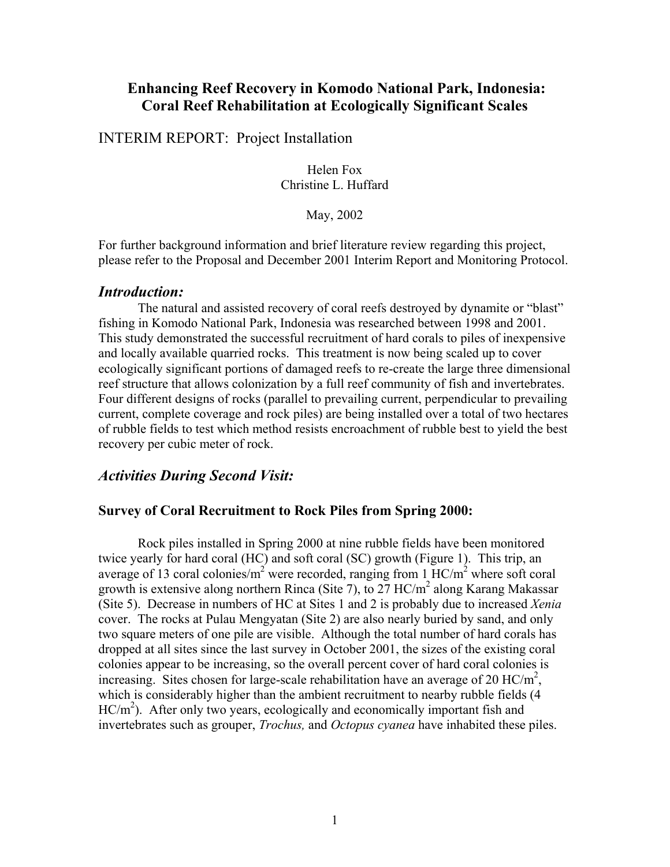# **Enhancing Reef Recovery in Komodo National Park, Indonesia: Coral Reef Rehabilitation at Ecologically Significant Scales**

INTERIM REPORT: Project Installation

Helen Fox Christine L. Huffard

May, 2002

For further background information and brief literature review regarding this project, please refer to the Proposal and December 2001 Interim Report and Monitoring Protocol.

### *Introduction:*

The natural and assisted recovery of coral reefs destroyed by dynamite or "blast" fishing in Komodo National Park, Indonesia was researched between 1998 and 2001. This study demonstrated the successful recruitment of hard corals to piles of inexpensive and locally available quarried rocks. This treatment is now being scaled up to cover ecologically significant portions of damaged reefs to re-create the large three dimensional reef structure that allows colonization by a full reef community of fish and invertebrates. Four different designs of rocks (parallel to prevailing current, perpendicular to prevailing current, complete coverage and rock piles) are being installed over a total of two hectares of rubble fields to test which method resists encroachment of rubble best to yield the best recovery per cubic meter of rock.

# *Activities During Second Visit:*

### **Survey of Coral Recruitment to Rock Piles from Spring 2000:**

Rock piles installed in Spring 2000 at nine rubble fields have been monitored twice yearly for hard coral (HC) and soft coral (SC) growth (Figure 1). This trip, an average of 13 coral colonies/ $m^2$  were recorded, ranging from 1 HC/ $m^2$  where soft coral growth is extensive along northern Rinca (Site 7), to 27  $HC/m<sup>2</sup>$  along Karang Makassar (Site 5). Decrease in numbers of HC at Sites 1 and 2 is probably due to increased *Xenia*  cover. The rocks at Pulau Mengyatan (Site 2) are also nearly buried by sand, and only two square meters of one pile are visible. Although the total number of hard corals has dropped at all sites since the last survey in October 2001, the sizes of the existing coral colonies appear to be increasing, so the overall percent cover of hard coral colonies is increasing. Sites chosen for large-scale rehabilitation have an average of 20  $\text{HC/m}^2$ , which is considerably higher than the ambient recruitment to nearby rubble fields (4 HC/m<sup>2</sup>). After only two years, ecologically and economically important fish and invertebrates such as grouper, *Trochus,* and *Octopus cyanea* have inhabited these piles.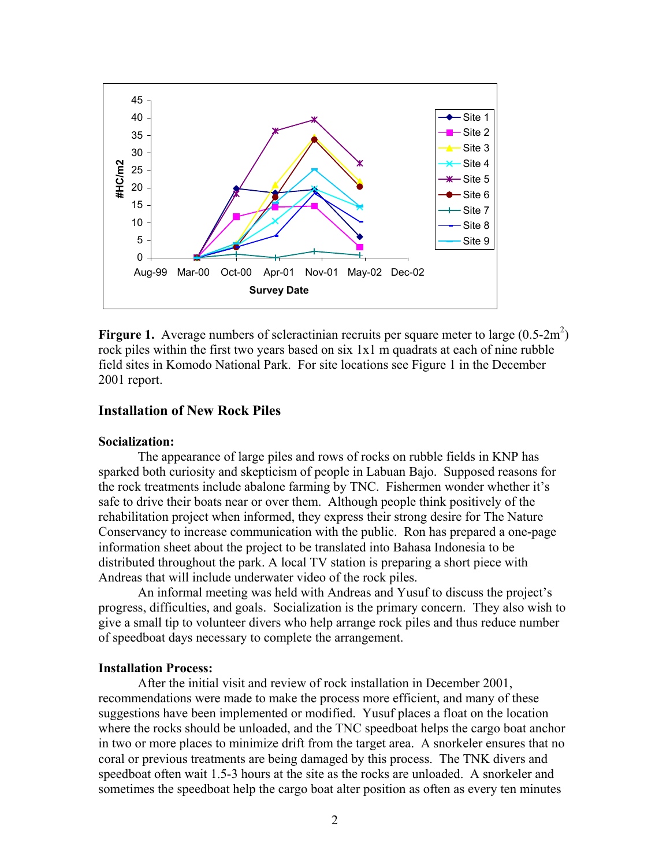

**Firgure 1.** Average numbers of scleractinian recruits per square meter to large  $(0.5\text{-}2\text{m}^2)$ rock piles within the first two years based on six 1x1 m quadrats at each of nine rubble field sites in Komodo National Park. For site locations see Figure 1 in the December 2001 report.

### **Installation of New Rock Piles**

#### **Socialization:**

The appearance of large piles and rows of rocks on rubble fields in KNP has sparked both curiosity and skepticism of people in Labuan Bajo. Supposed reasons for the rock treatments include abalone farming by TNC. Fishermen wonder whether it's safe to drive their boats near or over them.Although people think positively of the rehabilitation project when informed, they express their strong desire for The Nature Conservancy to increase communication with the public. Ron has prepared a one-page information sheet about the project to be translated into Bahasa Indonesia to be distributed throughout the park. A local TV station is preparing a short piece with Andreas that will include underwater video of the rock piles.

 An informal meeting was held with Andreas and Yusuf to discuss the project's progress, difficulties, and goals. Socialization is the primary concern. They also wish to give a small tip to volunteer divers who help arrange rock piles and thus reduce number of speedboat days necessary to complete the arrangement.

#### **Installation Process:**

After the initial visit and review of rock installation in December 2001, recommendations were made to make the process more efficient, and many of these suggestions have been implemented or modified. Yusuf places a float on the location where the rocks should be unloaded, and the TNC speedboat helps the cargo boat anchor in two or more places to minimize drift from the target area. A snorkeler ensures that no coral or previous treatments are being damaged by this process. The TNK divers and speedboat often wait 1.5-3 hours at the site as the rocks are unloaded. A snorkeler and sometimes the speedboat help the cargo boat alter position as often as every ten minutes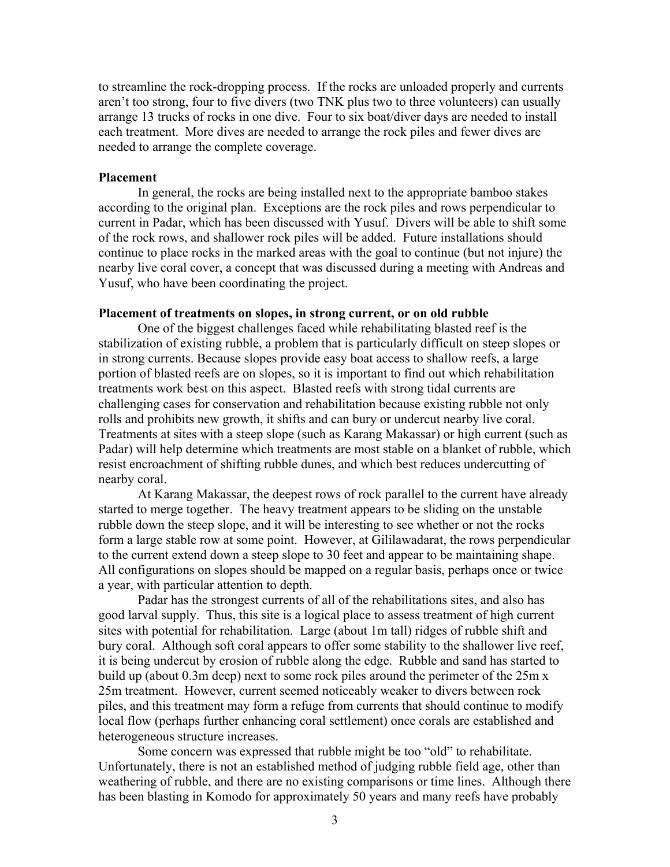to streamline the rock-dropping process. If the rocks are unloaded properly and currents aren't too strong, four to five divers (two TNK plus two to three volunteers) can usually arrange 13 trucks of rocks in one dive. Four to six boat/diver days are needed to install each treatment. More dives are needed to arrange the rock piles and fewer dives are needed to arrange the complete coverage.

#### **Placement**

In general, the rocks are being installed next to the appropriate bamboo stakes according to the original plan. Exceptions are the rock piles and rows perpendicular to current in Padar, which has been discussed with Yusuf. Divers will be able to shift some of the rock rows, and shallower rock piles will be added. Future installations should continue to place rocks in the marked areas with the goal to continue (but not injure) the nearby live coral cover, a concept that was discussed during a meeting with Andreas and Yusuf, who have been coordinating the project.

#### **Placement of treatments on slopes, in strong current, or on old rubble**

One of the biggest challenges faced while rehabilitating blasted reef is the stabilization of existing rubble, a problem that is particularly difficult on steep slopes or in strong currents. Because slopes provide easy boat access to shallow reefs, a large portion of blasted reefs are on slopes, so it is important to find out which rehabilitation treatments work best on this aspect. Blasted reefs with strong tidal currents are challenging cases for conservation and rehabilitation because existing rubble not only rolls and prohibits new growth, it shifts and can bury or undercut nearby live coral. Treatments at sites with a steep slope (such as Karang Makassar) or high current (such as Padar) will help determine which treatments are most stable on a blanket of rubble, which resist encroachment of shifting rubble dunes, and which best reduces undercutting of nearby coral.

At Karang Makassar, the deepest rows of rock parallel to the current have already started to merge together. The heavy treatment appears to be sliding on the unstable rubble down the steep slope, and it will be interesting to see whether or not the rocks form a large stable row at some point. However, at Gililawadarat, the rows perpendicular to the current extend down a steep slope to 30 feet and appear to be maintaining shape. All configurations on slopes should be mapped on a regular basis, perhaps once or twice a year, with particular attention to depth.

Padar has the strongest currents of all of the rehabilitations sites, and also has good larval supply. Thus, this site is a logical place to assess treatment of high current sites with potential for rehabilitation. Large (about 1m tall) ridges of rubble shift and bury coral. Although soft coral appears to offer some stability to the shallower live reef, it is being undercut by erosion of rubble along the edge. Rubble and sand has started to build up (about 0.3m deep) next to some rock piles around the perimeter of the 25m x 25m treatment. However, current seemed noticeably weaker to divers between rock piles, and this treatment may form a refuge from currents that should continue to modify local flow (perhaps further enhancing coral settlement) once corals are established and heterogeneous structure increases.

Some concern was expressed that rubble might be too "old" to rehabilitate. Unfortunately, there is not an established method of judging rubble field age, other than weathering of rubble, and there are no existing comparisons or time lines. Although there has been blasting in Komodo for approximately 50 years and many reefs have probably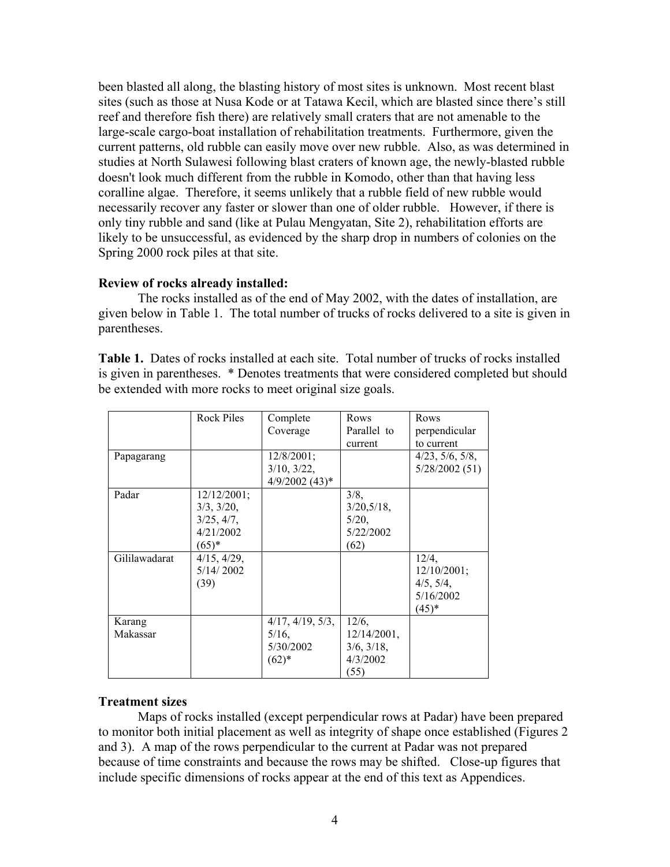been blasted all along, the blasting history of most sites is unknown. Most recent blast sites (such as those at Nusa Kode or at Tatawa Kecil, which are blasted since there's still reef and therefore fish there) are relatively small craters that are not amenable to the large-scale cargo-boat installation of rehabilitation treatments. Furthermore, given the current patterns, old rubble can easily move over new rubble. Also, as was determined in studies at North Sulawesi following blast craters of known age, the newly-blasted rubble doesn't look much different from the rubble in Komodo, other than that having less coralline algae. Therefore, it seems unlikely that a rubble field of new rubble would necessarily recover any faster or slower than one of older rubble. However, if there is only tiny rubble and sand (like at Pulau Mengyatan, Site 2), rehabilitation efforts are likely to be unsuccessful, as evidenced by the sharp drop in numbers of colonies on the Spring 2000 rock piles at that site.

## **Review of rocks already installed:**

The rocks installed as of the end of May 2002, with the dates of installation, are given below in Table 1. The total number of trucks of rocks delivered to a site is given in parentheses.

**Table 1.** Dates of rocks installed at each site. Total number of trucks of rocks installed is given in parentheses. \* Denotes treatments that were considered completed but should be extended with more rocks to meet original size goals.

|               | Rock Piles       | Complete          | Rows           | Rows                     |
|---------------|------------------|-------------------|----------------|--------------------------|
|               |                  | Coverage          | Parallel to    | perpendicular            |
|               |                  |                   | current        | to current               |
| Papagarang    |                  | $12/8/2001$ ;     |                | $4/23$ , $5/6$ , $5/8$ , |
|               |                  | $3/10$ , $3/22$ , |                | 5/28/2002(51)            |
|               |                  | $4/9/2002$ (43)*  |                |                          |
| Padar         | 12/12/2001;      |                   | 3/8,           |                          |
|               | $3/3$ , $3/20$ , |                   | 3/20,5/18,     |                          |
|               | 3/25, 4/7,       |                   | 5/20,          |                          |
|               | 4/21/2002        |                   | 5/22/2002      |                          |
|               | $(65)^*$         |                   | (62)           |                          |
| Gililawadarat | 4/15, 4/29,      |                   |                | 12/4,                    |
|               | 5/14/2002        |                   |                | 12/10/2001;              |
|               | (39)             |                   |                | 4/5, 5/4,                |
|               |                  |                   |                | 5/16/2002                |
|               |                  |                   |                | $(45)^{*}$               |
| Karang        |                  | 4/17, 4/19, 5/3,  | 12/6,          |                          |
| Makassar      |                  | $5/16$ ,          | $12/14/2001$ , |                          |
|               |                  | 5/30/2002         | 3/6, 3/18,     |                          |
|               |                  | $(62)*$           | 4/3/2002       |                          |
|               |                  |                   | (55)           |                          |

# **Treatment sizes**

Maps of rocks installed (except perpendicular rows at Padar) have been prepared to monitor both initial placement as well as integrity of shape once established (Figures 2 and 3). A map of the rows perpendicular to the current at Padar was not prepared because of time constraints and because the rows may be shifted. Close-up figures that include specific dimensions of rocks appear at the end of this text as Appendices.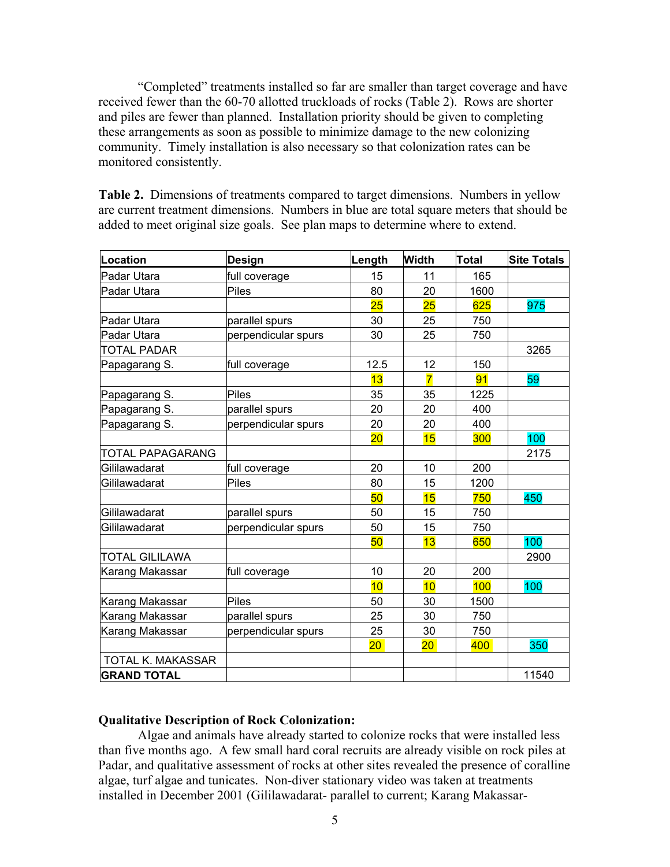"Completed" treatments installed so far are smaller than target coverage and have received fewer than the 60-70 allotted truckloads of rocks (Table 2). Rows are shorter and piles are fewer than planned. Installation priority should be given to completing these arrangements as soon as possible to minimize damage to the new colonizing community. Timely installation is also necessary so that colonization rates can be monitored consistently.

**Table 2.** Dimensions of treatments compared to target dimensions. Numbers in yellow are current treatment dimensions. Numbers in blue are total square meters that should be added to meet original size goals. See plan maps to determine where to extend.

| Location                 | Design              | Length          | <b>Width</b>    | <b>Total</b> | <b>Site Totals</b> |
|--------------------------|---------------------|-----------------|-----------------|--------------|--------------------|
| Padar Utara              | full coverage       | 15              | 11              | 165          |                    |
| Padar Utara              | Piles               | 80              | 20              | 1600         |                    |
|                          |                     | 25              | 25              | 625          | 975                |
| lPadar Utara             | parallel spurs      | 30              | 25              | 750          |                    |
| Padar Utara              | perpendicular spurs | 30              | 25              | 750          |                    |
| <b>TOTAL PADAR</b>       |                     |                 |                 |              | 3265               |
| Papagarang S.            | full coverage       | 12.5            | 12              | 150          |                    |
|                          |                     | 13              | $\overline{7}$  | 91           | 59                 |
| Papagarang S.            | Piles               | 35              | 35              | 1225         |                    |
| Papagarang S.            | parallel spurs      | 20              | 20              | 400          |                    |
| Papagarang S.            | perpendicular spurs | 20              | 20              | 400          |                    |
|                          |                     | $\overline{20}$ | 15              | 300          | 100                |
| <b>TOTAL PAPAGARANG</b>  |                     |                 |                 |              | 2175               |
| Gililawadarat            | full coverage       | 20              | 10              | 200          |                    |
| Gililawadarat            | <b>Piles</b>        | 80              | 15              | 1200         |                    |
|                          |                     | 50              | 15              | 750          | 450                |
| Gililawadarat            | parallel spurs      | 50              | 15              | 750          |                    |
| Gililawadarat            | perpendicular spurs | 50              | 15              | 750          |                    |
|                          |                     | 50              | 13              | 650          | 100                |
| <b>TOTAL GILILAWA</b>    |                     |                 |                 |              | 2900               |
| Karang Makassar          | full coverage       | 10              | 20              | 200          |                    |
|                          |                     | 10              | 10              | 100          | 100                |
| Karang Makassar          | Piles               | 50              | 30              | 1500         |                    |
| Karang Makassar          | parallel spurs      | 25              | 30              | 750          |                    |
| Karang Makassar          | perpendicular spurs | 25              | 30              | 750          |                    |
|                          |                     | 20 <sub>2</sub> | 20 <sub>2</sub> | 400          | 350                |
| <b>TOTAL K. MAKASSAR</b> |                     |                 |                 |              |                    |
| <b>GRAND TOTAL</b>       |                     |                 |                 |              | 11540              |

### **Qualitative Description of Rock Colonization:**

 Algae and animals have already started to colonize rocks that were installed less than five months ago. A few small hard coral recruits are already visible on rock piles at Padar, and qualitative assessment of rocks at other sites revealed the presence of coralline algae, turf algae and tunicates. Non-diver stationary video was taken at treatments installed in December 2001 (Gililawadarat- parallel to current; Karang Makassar-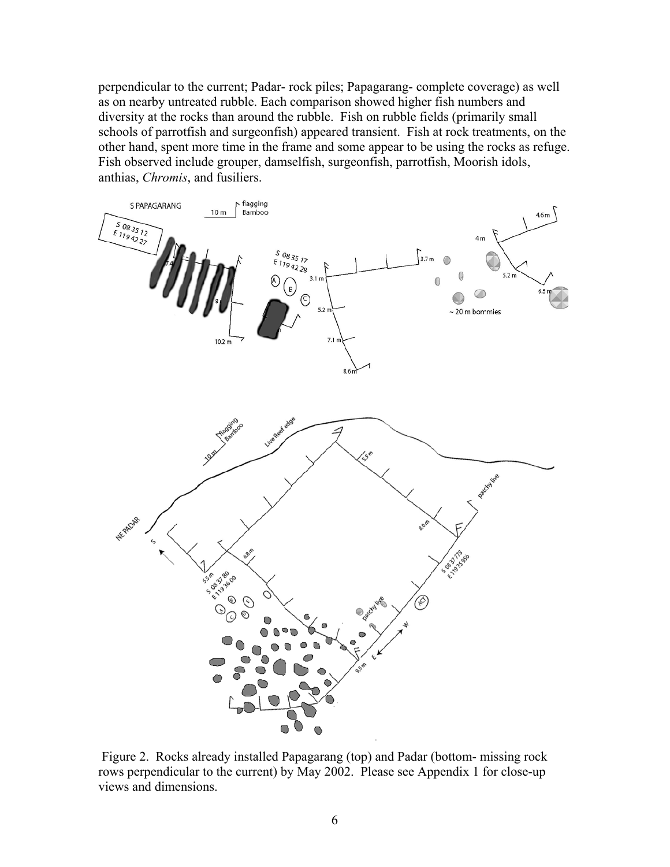perpendicular to the current; Padar- rock piles; Papagarang- complete coverage) as well as on nearby untreated rubble. Each comparison showed higher fish numbers and diversity at the rocks than around the rubble. Fish on rubble fields (primarily small schools of parrotfish and surgeonfish) appeared transient. Fish at rock treatments, on the other hand, spent more time in the frame and some appear to be using the rocks as refuge. Fish observed include grouper, damselfish, surgeonfish, parrotfish, Moorish idols, anthias, *Chromis*, and fusiliers.



 Figure 2. Rocks already installed Papagarang (top) and Padar (bottom- missing rock rows perpendicular to the current) by May 2002. Please see Appendix 1 for close-up views and dimensions.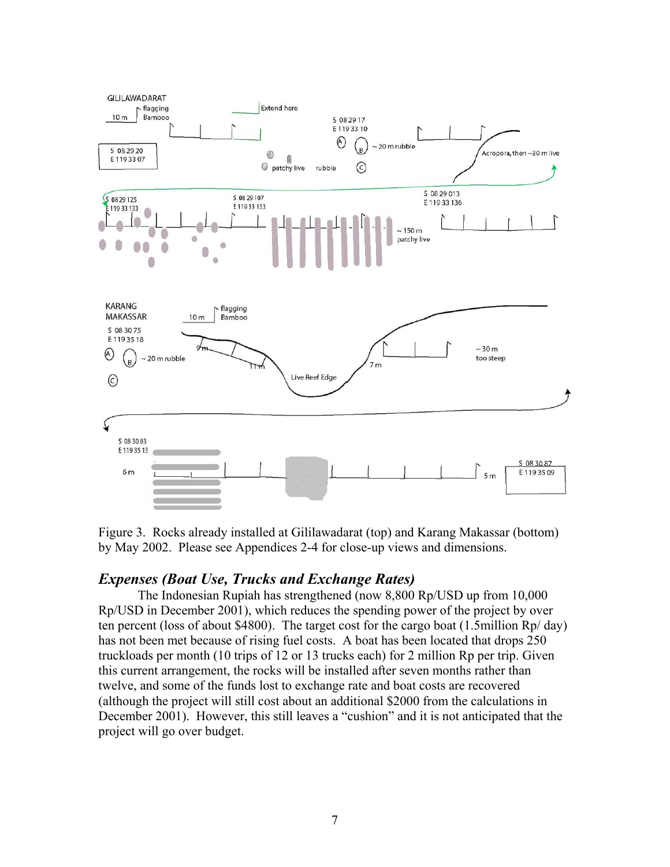

Figure 3. Rocks already installed at Gililawadarat (top) and Karang Makassar (bottom) by May 2002. Please see Appendices 2-4 for close-up views and dimensions.

# *Expenses (Boat Use, Trucks and Exchange Rates)*

The Indonesian Rupiah has strengthened (now 8,800 Rp/USD up from 10,000 Rp/USD in December 2001), which reduces the spending power of the project by over ten percent (loss of about \$4800). The target cost for the cargo boat (1.5million Rp/ day) has not been met because of rising fuel costs. A boat has been located that drops 250 truckloads per month (10 trips of 12 or 13 trucks each) for 2 million Rp per trip. Given this current arrangement, the rocks will be installed after seven months rather than twelve, and some of the funds lost to exchange rate and boat costs are recovered (although the project will still cost about an additional \$2000 from the calculations in December 2001). However, this still leaves a "cushion" and it is not anticipated that the project will go over budget.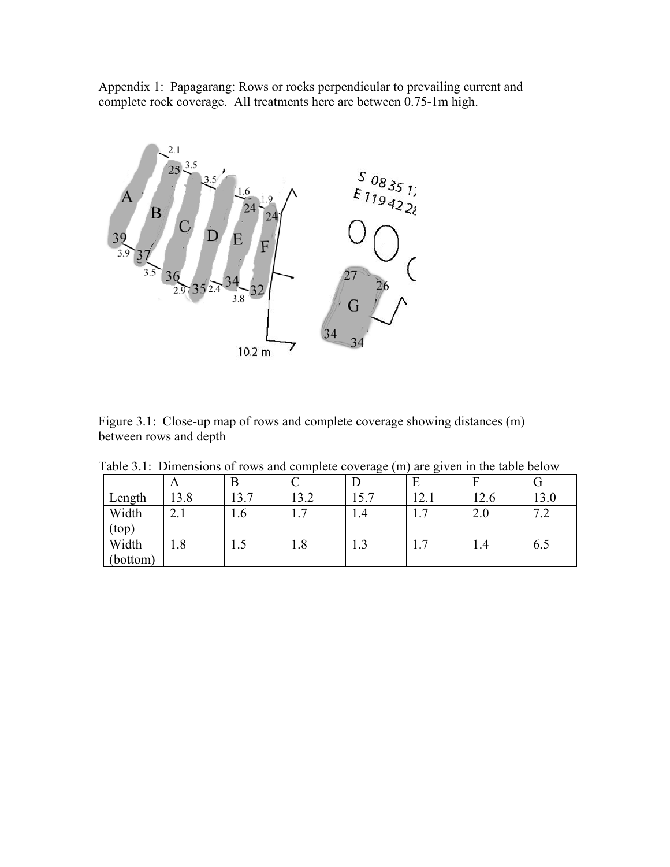Appendix 1: Papagarang: Rows or rocks perpendicular to prevailing current and complete rock coverage. All treatments here are between 0.75-1m high.



|                        | Figure 3.1: Close-up map of rows and complete coverage showing distances (m) |  |  |
|------------------------|------------------------------------------------------------------------------|--|--|
| between rows and depth |                                                                              |  |  |

|  |  |  | Table 3.1: Dimensions of rows and complete coverage (m) are given in the table below |
|--|--|--|--------------------------------------------------------------------------------------|
|  |  |  |                                                                                      |

|                        | A        |      | ⌒                   |      |                                 |      |                       |
|------------------------|----------|------|---------------------|------|---------------------------------|------|-----------------------|
| Length                 | 13.8     | 13.7 | 13.2                | 15.7 | 12.1                            | 12.6 | 13.0                  |
| Width<br>$({\rm top})$ | ◠<br>4.1 | 1.6  | $\overline{ }$<br>. | 1.4  | $\overline{\phantom{0}}$<br>1.1 | 2.0  | $\sim$ $\sim$<br>تك . |
| Width<br>(bottom)      | 1.8      | 1.J  | 1.8                 | 1.J  | 1.1                             | 1.4  | 6.5                   |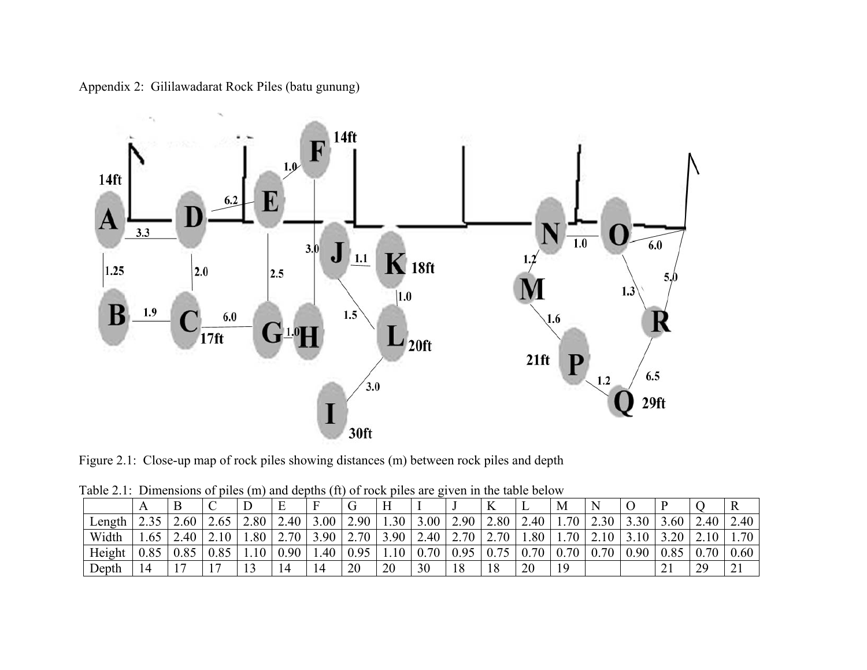Appendix 2: Gililawadarat Rock Piles (batu gunung)



Figure 2.1: Close-up map of rock piles showing distances (m) between rock piles and depth

| Twore $\Xi$ . Beinvisions of phose (iii) and depths (it) of four phose are $\Xi$ for in the more octor. |      |             |                          |      |      |      |      |                |      |      |      |      |      |      |      |      |      |      |
|---------------------------------------------------------------------------------------------------------|------|-------------|--------------------------|------|------|------|------|----------------|------|------|------|------|------|------|------|------|------|------|
|                                                                                                         |      |             | ◡                        |      | Ε    | Е    |      |                |      |      | A    | .,   | М    |      |      |      |      | R    |
| Length                                                                                                  |      | $\angle 60$ |                          | 2.80 | 2.40 | 3.00 | 2.90 | 1.30           | 3.00 | 2.90 | 2.80 | 2.40 | 1.70 | 2.30 | 3.30 | 3.60 | 2.40 | 2.40 |
| Width                                                                                                   |      | 2.40        | 2.10                     | 1.80 | 2.70 | 3.90 | 2.70 | 3.90           | 2.40 | 2.70 | 2.70 | 1.80 | 1.70 | 2.10 | 3.10 | 3.20 | 2.10 | 1.70 |
| Height                                                                                                  | 0.85 |             | 0.85                     | 1.10 | 0.90 | 1.40 | 0.95 | 1 <sub>0</sub> | 0.70 | 0.95 | 0.75 | 0.70 | 0.70 | 0.70 | 0.90 | 0.85 | 0.70 | 0.60 |
| Depth                                                                                                   |      |             | $\overline{\phantom{0}}$ | 12   | 14   | 14   | 20   | 20             | 30   | 1 O  |      | 20   | 19   |      |      | ◢    | 29   | 21   |

Table 2.1: Dimensions of piles (m) and depths (ft) of rock piles are given in the table below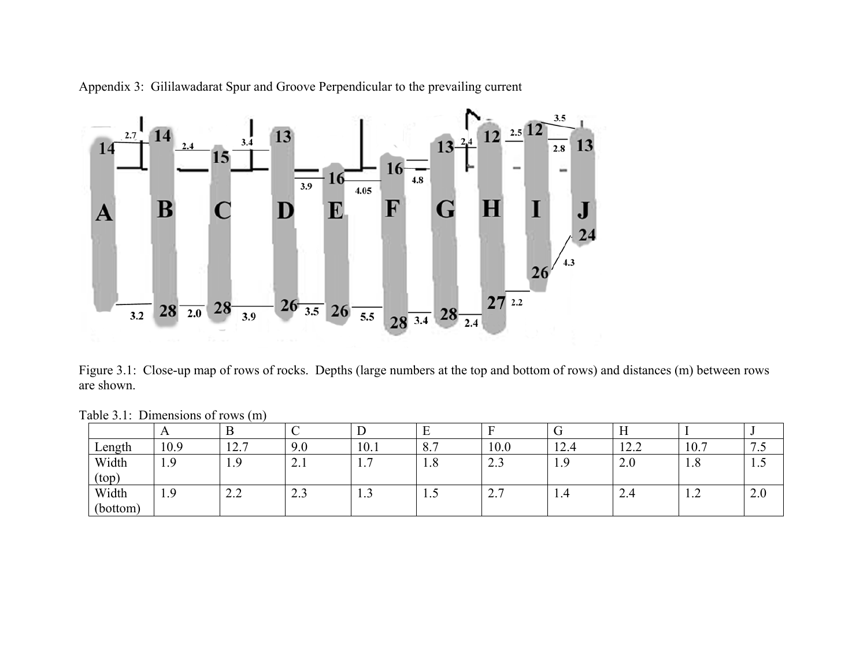

Appendix 3: Gililawadarat Spur and Groove Perpendicular to the prevailing current

Figure 3.1: Close-up map of rows of rocks. Depths (large numbers at the top and bottom of rows) and distances (m) between rows are shown.

| $10000$ $3.1$ , D $11101101010$ of 10 $1000$ $1111$ |      |                                   |              |                                  |                                  |               |      |                                        |           |                          |
|-----------------------------------------------------|------|-----------------------------------|--------------|----------------------------------|----------------------------------|---------------|------|----------------------------------------|-----------|--------------------------|
|                                                     |      |                                   | ◡            |                                  | -                                |               |      | $\bf{H}$                               |           |                          |
| $\text{Length}$                                     | 10.9 | 12.7                              | 9.0          | 10.1                             | O <sub>7</sub><br>$\mathbf{O}$ . | 10.0          | 12.4 | 122<br>$1 \mathcal{L}$ , $\mathcal{L}$ | 10.7      | $\overline{\phantom{a}}$ |
| Width<br>(top)                                      | 1.9  | 1.9                               | $\sim$ .1    | $\overline{ }$<br>$\mathbf{1}$ . | 1.8                              | د. ۷          |      | 2.0                                    | 1.8       | $\perp$ . $\cup$         |
| Width<br>(bottom)                                   | 1.9  | $\sim$ $\sim$<br>$\overline{2}$ . | ົ່າ<br>ر . ے | $\sim$<br>1.3                    | $\mathbf{1} \cdot \mathbf{1}$    | -<br>$\sim$ . | 1.4  | $\mathcal{L}$ .4                       | $\perp$ . | 2.0                      |

Table 3.1: Dimensions of rows (m)